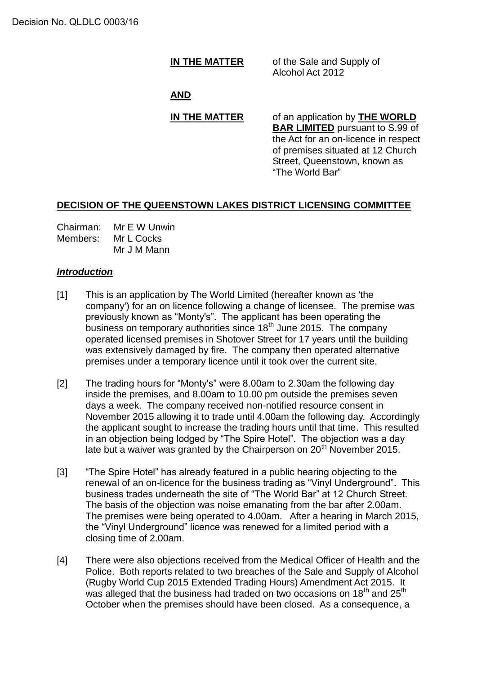**IN THE MATTER** of the Sale and Supply of Alcohol Act 2012

# **AND**

# **IN THE MATTER** of an application by **THE WORLD**

**BAR LIMITED** pursuant to S.99 of the Act for an on-licence in respect of premises situated at 12 Church Street, Queenstown, known as "The World Bar"

# **DECISION OF THE QUEENSTOWN LAKES DISTRICT LICENSING COMMITTEE**

Chairman: Mr E W Unwin Members: Mr L Cocks Mr J M Mann

# *Introduction*

- [1] This is an application by The World Limited (hereafter known as 'the company') for an on licence following a change of licensee. The premise was previously known as "Monty's". The applicant has been operating the business on temporary authorities since  $18<sup>th</sup>$  June 2015. The company operated licensed premises in Shotover Street for 17 years until the building was extensively damaged by fire. The company then operated alternative premises under a temporary licence until it took over the current site.
- [2] The trading hours for "Monty's" were 8.00am to 2.30am the following day inside the premises, and 8.00am to 10.00 pm outside the premises seven days a week. The company received non-notified resource consent in November 2015 allowing it to trade until 4.00am the following day. Accordingly the applicant sought to increase the trading hours until that time. This resulted in an objection being lodged by "The Spire Hotel". The objection was a day late but a waiver was granted by the Chairperson on 20<sup>th</sup> November 2015.
- [3] "The Spire Hotel" has already featured in a public hearing objecting to the renewal of an on-licence for the business trading as "Vinyl Underground". This business trades underneath the site of "The World Bar" at 12 Church Street. The basis of the objection was noise emanating from the bar after 2.00am. The premises were being operated to 4.00am. After a hearing in March 2015, the "Vinyl Underground" licence was renewed for a limited period with a closing time of 2.00am.
- [4] There were also objections received from the Medical Officer of Health and the Police. Both reports related to two breaches of the Sale and Supply of Alcohol (Rugby World Cup 2015 Extended Trading Hours) Amendment Act 2015. It was alleged that the business had traded on two occasions on  $18<sup>th</sup>$  and  $25<sup>th</sup>$ October when the premises should have been closed. As a consequence, a